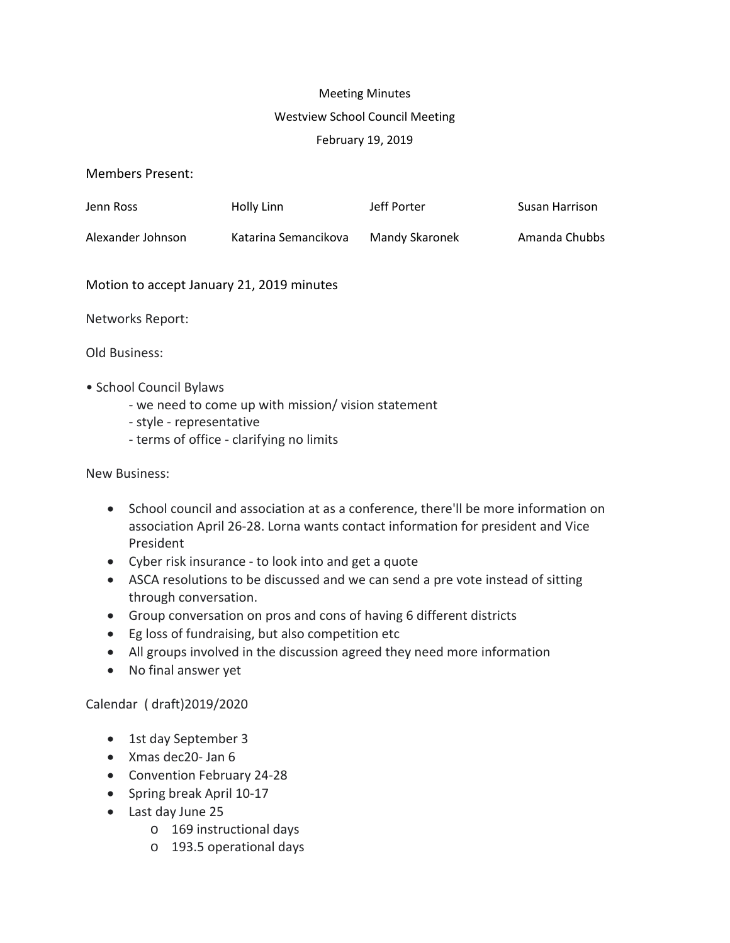# Meeting Minutes Westview School Council Meeting February 19, 2019

Members Present:

| Jenn Ross         | Holly Linn           | Jeff Porter    | Susan Harrison |
|-------------------|----------------------|----------------|----------------|
| Alexander Johnson | Katarina Semancikova | Mandy Skaronek | Amanda Chubbs  |

Motion to accept January 21, 2019 minutes

Networks Report:

Old Business:

- School Council Bylaws
	- we need to come up with mission/ vision statement
	- style representative
	- terms of office clarifying no limits

New Business:

- School council and association at as a conference, there'll be more information on association April 26-28. Lorna wants contact information for president and Vice President
- Cyber risk insurance to look into and get a quote
- ASCA resolutions to be discussed and we can send a pre vote instead of sitting through conversation.
- Group conversation on pros and cons of having 6 different districts
- Eg loss of fundraising, but also competition etc
- All groups involved in the discussion agreed they need more information
- No final answer yet

Calendar ( draft)2019/2020

- 1st day September 3
- Xmas dec20- Jan 6
- Convention February 24-28
- Spring break April 10-17
- Last day June 25
	- o 169 instructional days
	- o 193.5 operational days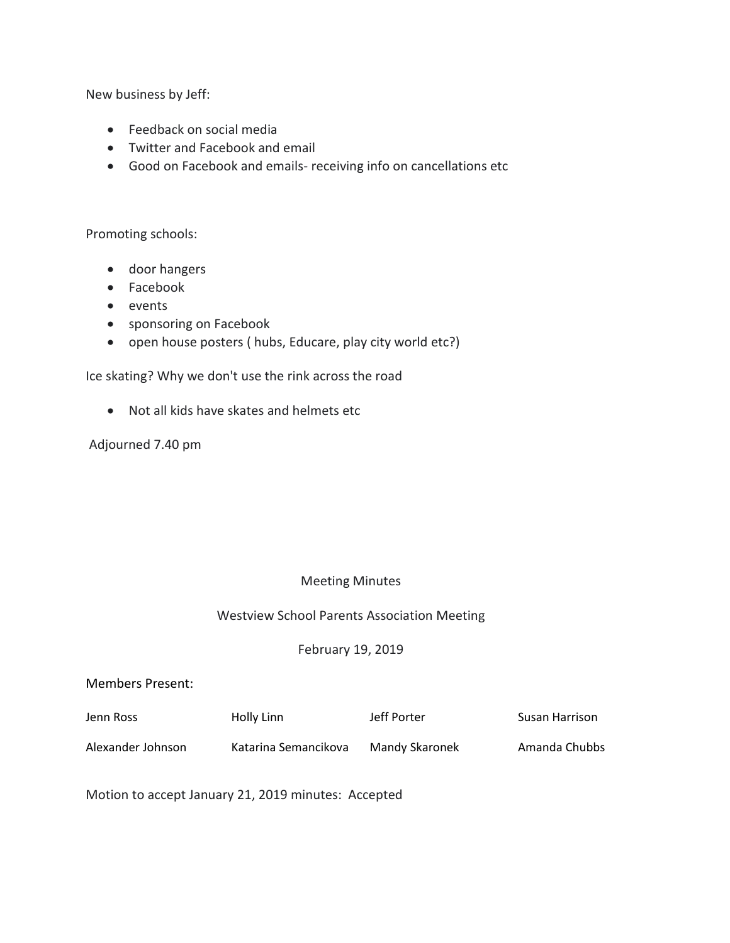New business by Jeff:

- Feedback on social media
- Twitter and Facebook and email
- Good on Facebook and emails- receiving info on cancellations etc

Promoting schools:

- door hangers
- Facebook
- events
- sponsoring on Facebook
- open house posters ( hubs, Educare, play city world etc?)

Ice skating? Why we don't use the rink across the road

• Not all kids have skates and helmets etc

Adjourned 7.40 pm

### Meeting Minutes

#### Westview School Parents Association Meeting

### February 19, 2019

#### Members Present:

| Jenn Ross         | Holly Linn           | Jeff Porter    | Susan Harrison |
|-------------------|----------------------|----------------|----------------|
| Alexander Johnson | Katarina Semancikova | Mandy Skaronek | Amanda Chubbs  |

Motion to accept January 21, 2019 minutes: Accepted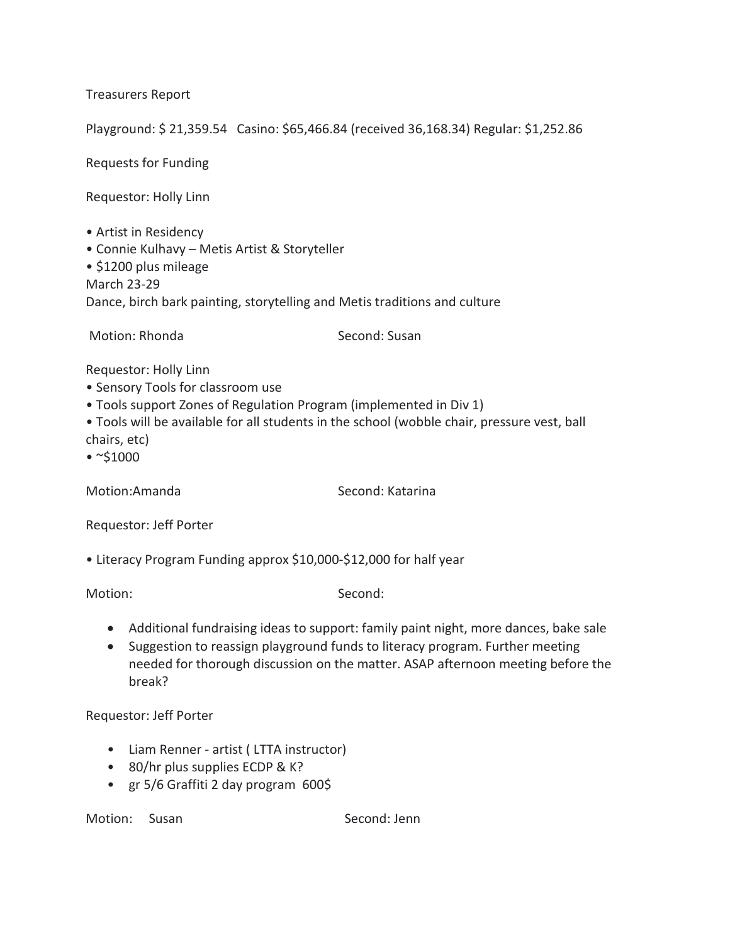Treasurers Report

Playground: \$ 21,359.54 Casino: \$65,466.84 (received 36,168.34) Regular: \$1,252.86

Requests for Funding

Requestor: Holly Linn

- Artist in Residency
- Connie Kulhavy Metis Artist & Storyteller

• \$1200 plus mileage

March 23-29

Dance, birch bark painting, storytelling and Metis traditions and culture

Motion: Rhonda Second: Susan

Requestor: Holly Linn

- Sensory Tools for classroom use
- Tools support Zones of Regulation Program (implemented in Div 1)
- Tools will be available for all students in the school (wobble chair, pressure vest, ball chairs, etc)
- $\cdot$  ~\$1000

Motion:Amanda Second: Katarina

Requestor: Jeff Porter

• Literacy Program Funding approx \$10,000-\$12,000 for half year

Motion: Second: Second: Second: Second: Second: Second: Second: Second: Second: Second: Second: Second: Second: Second: Second: Second: Second: Second: Second: Second: Second: Second: Second: Second: Second: Second: Second

- Additional fundraising ideas to support: family paint night, more dances, bake sale
- Suggestion to reassign playground funds to literacy program. Further meeting needed for thorough discussion on the matter. ASAP afternoon meeting before the break?

Requestor: Jeff Porter

- Liam Renner artist ( LTTA instructor)
- 80/hr plus supplies ECDP & K?
- gr 5/6 Graffiti 2 day program 600\$

Motion: Susan Second: Jenn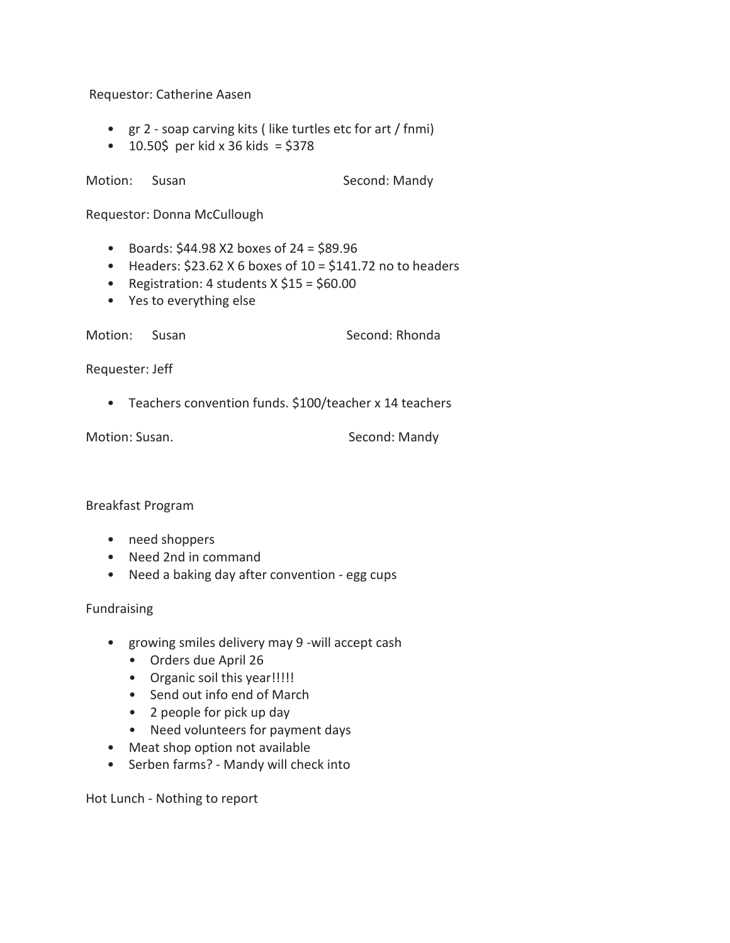Requestor: Catherine Aasen

- gr 2 soap carving kits ( like turtles etc for art / fnmi)
- $10.50\frac{2}{3}$  per kid x 36 kids = \$378

Motion: Susan Second: Mandy

Requestor: Donna McCullough

- Boards:  $$44.98$  X2 boxes of 24 =  $$89.96$
- Headers:  $$23.62$  X 6 boxes of 10 =  $$141.72$  no to headers
- Registration: 4 students  $X$  \$15 = \$60.00
- Yes to everything else

Motion: Susan Second: Rhonda

Requester: Jeff

• Teachers convention funds. \$100/teacher x 14 teachers

Motion: Susan. Susan. Second: Mandy

Breakfast Program

- need shoppers
- Need 2nd in command
- Need a baking day after convention egg cups

Fundraising

- growing smiles delivery may 9 -will accept cash
	- Orders due April 26
	- Organic soil this year!!!!!
	- Send out info end of March
	- 2 people for pick up day
	- Need volunteers for payment days
- Meat shop option not available
- Serben farms? Mandy will check into

Hot Lunch - Nothing to report